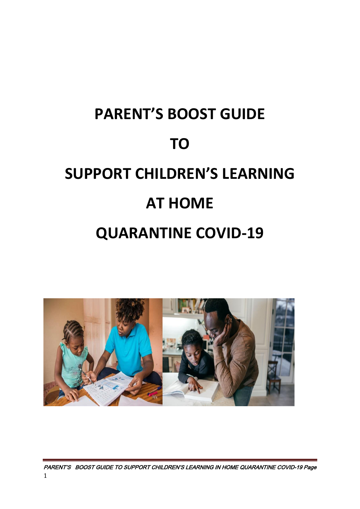# **PARENT'S BOOST GUIDE TO SUPPORT CHILDREN'S LEARNING AT HOME QUARANTINE COVID-19**



PARENT'S BOOST GUIDE TO SUPPORT CHILDREN'S LEARNING IN HOME QUARANTINE COVID-19 Page 1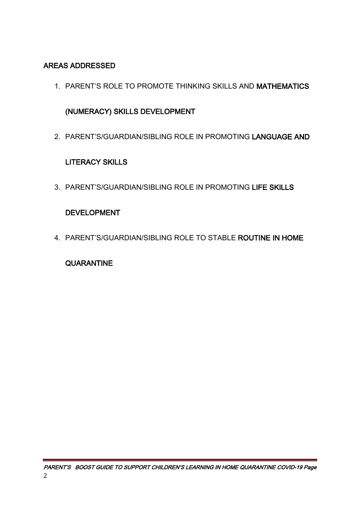### AREAS ADDRESSED

1. PARENT'S ROLE TO PROMOTE THINKING SKILLS AND MATHEMATICS

### (NUMERACY) SKILLS DEVELOPMENT

2. PARENT'S/GUARDIAN/SIBLING ROLE IN PROMOTING LANGUAGE AND

### LITERACY SKILLS

3. PARENT'S/GUARDIAN/SIBLING ROLE IN PROMOTING LIFE SKILLS

### DEVELOPMENT

4. PARENT'S/GUARDIAN/SIBLING ROLE TO STABLE ROUTINE IN HOME

### **QUARANTINE**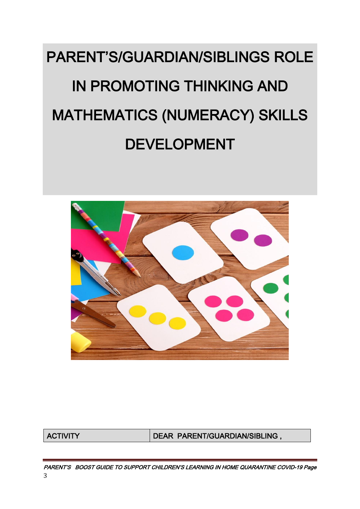# PARENT'S/GUARDIAN/SIBLINGS ROLE IN PROMOTING THINKING AND MATHEMATICS (NUMERACY) SKILLS DEVELOPMENT



ACTIVITY DEAR PARENT/GUARDIAN/SIBLING ,

PARENT'S BOOST GUIDE TO SUPPORT CHILDREN'S LEARNING IN HOME QUARANTINE COVID-19 Page 3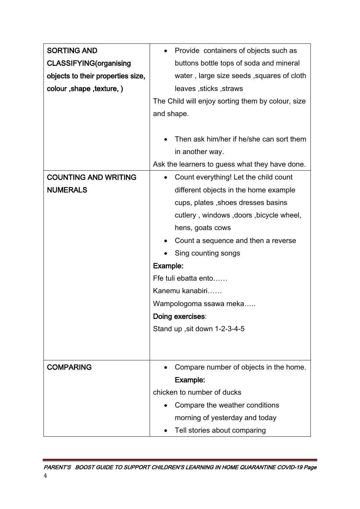| <b>SORTING AND</b>                | Provide containers of objects such as<br>$\bullet$                          |  |
|-----------------------------------|-----------------------------------------------------------------------------|--|
| <b>CLASSIFYING(organising</b>     | buttons bottle tops of soda and mineral                                     |  |
| objects to their properties size, | water, large size seeds, squares of cloth                                   |  |
| colour, shape, texture, )         | leaves, sticks, straws                                                      |  |
|                                   | The Child will enjoy sorting them by colour, size                           |  |
|                                   | and shape.                                                                  |  |
|                                   |                                                                             |  |
|                                   | Then ask him/her if he/she can sort them                                    |  |
|                                   | in another way.                                                             |  |
|                                   | Ask the learners to guess what they have done.                              |  |
| <b>COUNTING AND WRITING</b>       | Count everything! Let the child count                                       |  |
| <b>NUMERALS</b>                   | different objects in the home example<br>cups, plates, shoes dresses basins |  |
|                                   |                                                                             |  |
|                                   | cutlery, windows, doors, bicycle wheel,                                     |  |
|                                   | hens, goats cows                                                            |  |
|                                   | Count a sequence and then a reverse<br>٠                                    |  |
|                                   | Sing counting songs                                                         |  |
|                                   | Example:                                                                    |  |
|                                   | Ffe tuli ebatta ento                                                        |  |
|                                   | Kanemu kanabiri                                                             |  |
|                                   | Wampologoma ssawa meka                                                      |  |
|                                   | Doing exercises:                                                            |  |
|                                   | Stand up, sit down 1-2-3-4-5                                                |  |
|                                   |                                                                             |  |
|                                   |                                                                             |  |
| <b>COMPARING</b>                  | Compare number of objects in the home.                                      |  |
|                                   | Example:                                                                    |  |
|                                   | chicken to number of ducks                                                  |  |
|                                   | Compare the weather conditions                                              |  |
|                                   | morning of yesterday and today                                              |  |
|                                   | Tell stories about comparing                                                |  |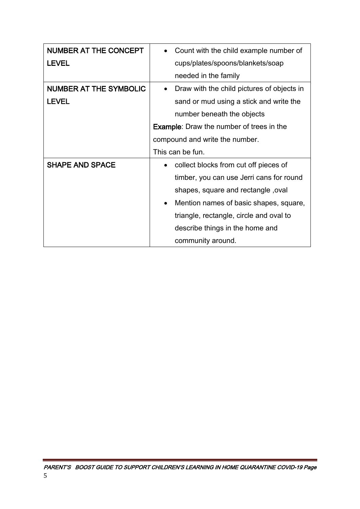| <b>NUMBER AT THE CONCEPT</b>  | Count with the child example number of                  |  |
|-------------------------------|---------------------------------------------------------|--|
| <b>LEVEL</b>                  | cups/plates/spoons/blankets/soap                        |  |
|                               | needed in the family                                    |  |
| <b>NUMBER AT THE SYMBOLIC</b> | Draw with the child pictures of objects in<br>$\bullet$ |  |
| <b>LEVEL</b>                  | sand or mud using a stick and write the                 |  |
|                               | number beneath the objects                              |  |
|                               | <b>Example:</b> Draw the number of trees in the         |  |
|                               | compound and write the number.                          |  |
|                               |                                                         |  |
|                               | This can be fun.                                        |  |
| <b>SHAPE AND SPACE</b>        | collect blocks from cut off pieces of                   |  |
|                               | timber, you can use Jerri cans for round                |  |
|                               | shapes, square and rectangle, oval                      |  |
|                               | Mention names of basic shapes, square,<br>$\bullet$     |  |
|                               | triangle, rectangle, circle and oval to                 |  |
|                               | describe things in the home and                         |  |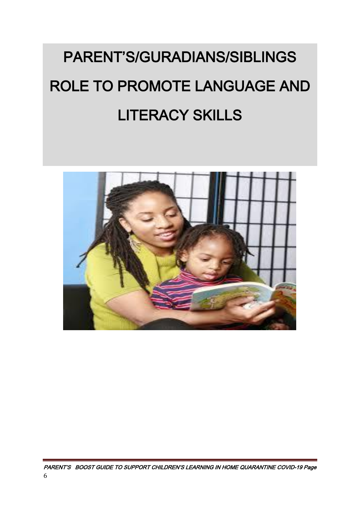# PARENT'S/GURADIANS/SIBLINGS ROLE TO PROMOTE LANGUAGE AND LITERACY SKILLS

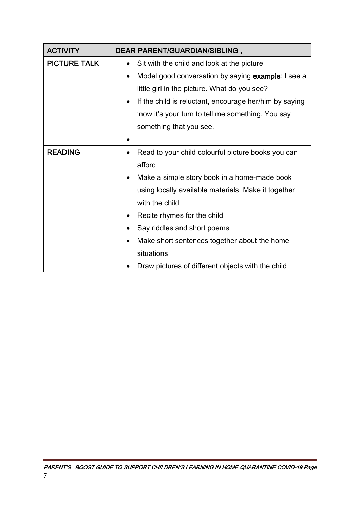| <b>ACTIVITY</b>     | DEAR PARENT/GUARDIAN/SIBLING,                                       |  |
|---------------------|---------------------------------------------------------------------|--|
| <b>PICTURE TALK</b> | Sit with the child and look at the picture<br>$\bullet$             |  |
|                     | Model good conversation by saying example: I see a<br>$\bullet$     |  |
|                     | little girl in the picture. What do you see?                        |  |
|                     | If the child is reluctant, encourage her/him by saying<br>$\bullet$ |  |
|                     | 'now it's your turn to tell me something. You say                   |  |
|                     | something that you see.                                             |  |
|                     |                                                                     |  |
| <b>READING</b>      | Read to your child colourful picture books you can                  |  |
|                     | afford                                                              |  |
|                     | Make a simple story book in a home-made book<br>٠                   |  |
|                     | using locally available materials. Make it together                 |  |
|                     | with the child                                                      |  |
|                     | Recite rhymes for the child                                         |  |
|                     | Say riddles and short poems                                         |  |
|                     | Make short sentences together about the home                        |  |
|                     | situations                                                          |  |
|                     | Draw pictures of different objects with the child                   |  |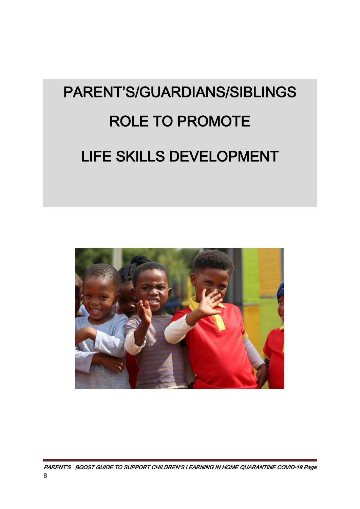# PARENT'S/GUARDIANS/SIBLINGS ROLE TO PROMOTE LIFE SKILLS DEVELOPMENT

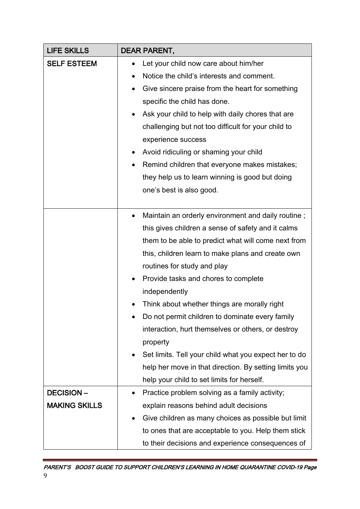| <b>LIFE SKILLS</b>   | <b>DEAR PARENT,</b>                                                       |  |
|----------------------|---------------------------------------------------------------------------|--|
| <b>SELF ESTEEM</b>   | Let your child now care about him/her                                     |  |
|                      | Notice the child's interests and comment.<br>٠                            |  |
|                      | Give sincere praise from the heart for something<br>$\bullet$             |  |
|                      | specific the child has done.                                              |  |
|                      | Ask your child to help with daily chores that are                         |  |
|                      | challenging but not too difficult for your child to<br>experience success |  |
|                      |                                                                           |  |
|                      | Avoid ridiculing or shaming your child<br>٠                               |  |
|                      | Remind children that everyone makes mistakes;                             |  |
|                      | they help us to learn winning is good but doing                           |  |
|                      | one's best is also good.                                                  |  |
|                      |                                                                           |  |
|                      | Maintain an orderly environment and daily routine;                        |  |
|                      | this gives children a sense of safety and it calms                        |  |
|                      | them to be able to predict what will come next from                       |  |
|                      | this, children learn to make plans and create own                         |  |
|                      | routines for study and play                                               |  |
|                      | Provide tasks and chores to complete                                      |  |
|                      | independently                                                             |  |
|                      | Think about whether things are morally right                              |  |
|                      | Do not permit children to dominate every family                           |  |
|                      | interaction, hurt themselves or others, or destroy                        |  |
|                      | property                                                                  |  |
|                      | Set limits. Tell your child what you expect her to do<br>٠                |  |
|                      | help her move in that direction. By setting limits you                    |  |
|                      | help your child to set limits for herself.                                |  |
| <b>DECISION-</b>     | Practice problem solving as a family activity;                            |  |
| <b>MAKING SKILLS</b> | explain reasons behind adult decisions                                    |  |
|                      | Give children as many choices as possible but limit                       |  |
|                      | to ones that are acceptable to you. Help them stick                       |  |
|                      | to their decisions and experience consequences of                         |  |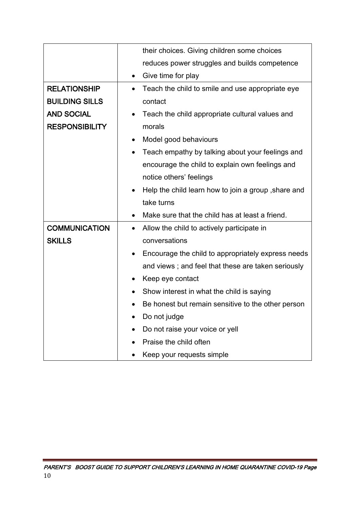|                       | their choices. Giving children some choices                      |  |
|-----------------------|------------------------------------------------------------------|--|
|                       | reduces power struggles and builds competence                    |  |
|                       | Give time for play<br>٠                                          |  |
| <b>RELATIONSHIP</b>   | Teach the child to smile and use appropriate eye<br>$\bullet$    |  |
| <b>BUILDING SILLS</b> | contact                                                          |  |
| <b>AND SOCIAL</b>     | Teach the child appropriate cultural values and                  |  |
| <b>RESPONSIBILITY</b> | morals                                                           |  |
|                       | Model good behaviours<br>$\bullet$                               |  |
|                       | Teach empathy by talking about your feelings and                 |  |
|                       | encourage the child to explain own feelings and                  |  |
|                       | notice others' feelings                                          |  |
|                       | Help the child learn how to join a group, share and<br>$\bullet$ |  |
|                       | take turns                                                       |  |
|                       | Make sure that the child has at least a friend.                  |  |
| <b>COMMUNICATION</b>  | Allow the child to actively participate in<br>$\bullet$          |  |
| <b>SKILLS</b>         | conversations                                                    |  |
|                       | Encourage the child to appropriately express needs<br>$\bullet$  |  |
|                       | and views; and feel that these are taken seriously               |  |
|                       | Keep eye contact<br>٠                                            |  |
|                       | Show interest in what the child is saying<br>$\bullet$           |  |
|                       | Be honest but remain sensitive to the other person<br>$\bullet$  |  |
|                       | Do not judge<br>$\bullet$                                        |  |
|                       | Do not raise your voice or yell<br>$\bullet$                     |  |
|                       | Praise the child often                                           |  |
|                       | Keep your requests simple                                        |  |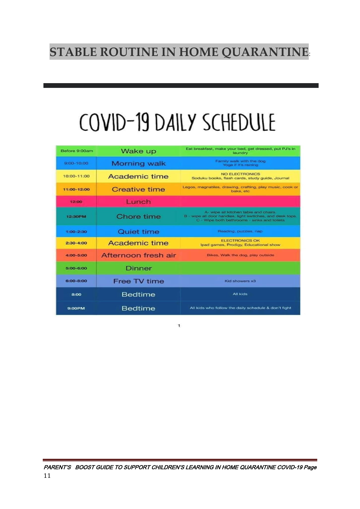### **STABLE ROUTINE IN HOME QUARANTINE**:

# COVID-19 DAILY SCHEDULE

| Before 9:00am  | Wake up             | Eat breakfast, make your bed, get dressed, put PJ's in<br>laundry                                                                                 |
|----------------|---------------------|---------------------------------------------------------------------------------------------------------------------------------------------------|
| $9:00 - 10:00$ | <b>Morning walk</b> | Family walk with the dog<br>Yoga if it's raining                                                                                                  |
| 10:00-11:00    | Academic time       | <b>NO ELECTRONICS</b><br>Soduku books, flash cards, study guide, Journal                                                                          |
| 11:00-12:00    | Creative time       | Legos, magnatiles, drawing, crafting, play music, cook or<br>bake, etc.                                                                           |
| 12:00          | Lunch               |                                                                                                                                                   |
| 12:30PM        | Chore time          | A- wipe all kitchen table and chairs.<br>B - wipe all door handles, light switches, and desk tops.<br>C - Wipe both bathrooms - sinks and toilets |
| $1:00 - 2:30$  | Quiet time          | Reading, puzzles, nap                                                                                                                             |
| $2:30 - 4:00$  | Academic time       | <b>ELECTRONICS OK</b><br>Ipad games, Prodigy, Educational show                                                                                    |
| 4:00-5:00      | Afternoon fresh air | Bikes, Walk the dog, play outside                                                                                                                 |
| 5:00-6:00      | Dinner              |                                                                                                                                                   |
| $6:00 - 8:00$  | Free TV time        | Kid showers x3                                                                                                                                    |
| 8:00           | <b>Bedtime</b>      | <b>All kids</b>                                                                                                                                   |
| 9:00PM         | Bedtime             | All kids who follow the daily schedule & don't fight                                                                                              |

1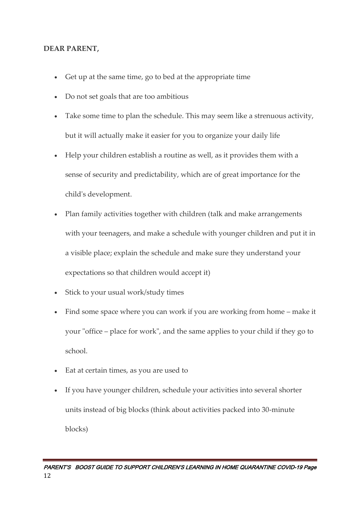### **DEAR PARENT,**

- Get up at the same time, go to bed at the appropriate time
- Do not set goals that are too ambitious
- Take some time to plan the schedule. This may seem like a strenuous activity, but it will actually make it easier for you to organize your daily life
- Help your children establish a routine as well, as it provides them with a sense of security and predictability, which are of great importance for the child's development.
- Plan family activities together with children (talk and make arrangements with your teenagers, and make a schedule with younger children and put it in a visible place; explain the schedule and make sure they understand your expectations so that children would accept it)
- Stick to your usual work/study times
- Find some space where you can work if you are working from home make it your "office – place for work", and the same applies to your child if they go to school.
- Eat at certain times, as you are used to
- If you have younger children, schedule your activities into several shorter units instead of big blocks (think about activities packed into 30-minute blocks)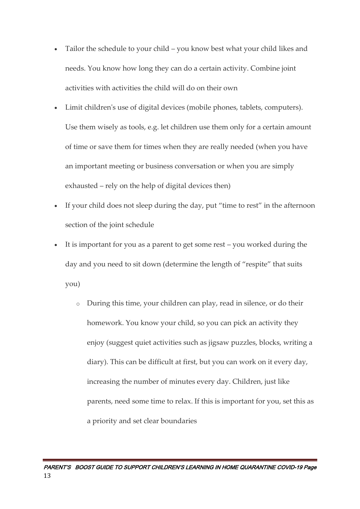- Tailor the schedule to your child you know best what your child likes and needs. You know how long they can do a certain activity. Combine joint activities with activities the child will do on their own
- Limit children's use of digital devices (mobile phones, tablets, computers). Use them wisely as tools, e.g. let children use them only for a certain amount of time or save them for times when they are really needed (when you have an important meeting or business conversation or when you are simply exhausted – rely on the help of digital devices then)
- If your child does not sleep during the day, put "time to rest" in the afternoon section of the joint schedule
- It is important for you as a parent to get some rest you worked during the day and you need to sit down (determine the length of "respite" that suits you)
	- During this time, your children can play, read in silence, or do their homework. You know your child, so you can pick an activity they enjoy (suggest quiet activities such as jigsaw puzzles, blocks, writing a diary). This can be difficult at first, but you can work on it every day, increasing the number of minutes every day. Children, just like parents, need some time to relax. If this is important for you, set this as a priority and set clear boundaries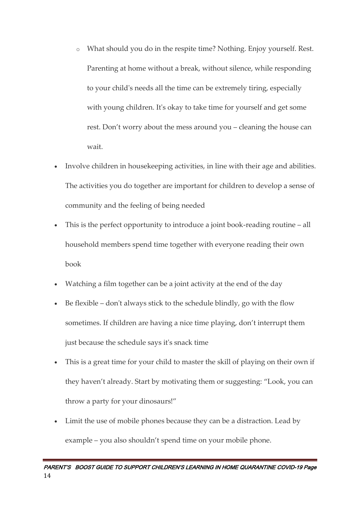- o What should you do in the respite time? Nothing. Enjoy yourself. Rest. Parenting at home without a break, without silence, while responding to your child's needs all the time can be extremely tiring, especially with young children. It's okay to take time for yourself and get some rest. Don't worry about the mess around you – cleaning the house can wait.
- Involve children in housekeeping activities, in line with their age and abilities. The activities you do together are important for children to develop a sense of community and the feeling of being needed
- This is the perfect opportunity to introduce a joint book-reading routine all household members spend time together with everyone reading their own book
- Watching a film together can be a joint activity at the end of the day
- Be flexible don't always stick to the schedule blindly, go with the flow sometimes. If children are having a nice time playing, don't interrupt them just because the schedule says it's snack time
- This is a great time for your child to master the skill of playing on their own if they haven't already. Start by motivating them or suggesting: "Look, you can throw a party for your dinosaurs!"
- Limit the use of mobile phones because they can be a distraction. Lead by example – you also shouldn't spend time on your mobile phone.